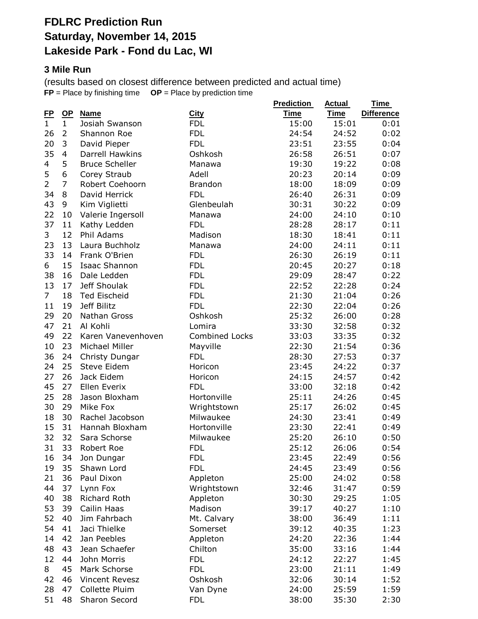### **FDLRC Prediction Run Saturday, November 14, 2015 Lakeside Park - Fond du Lac, WI**

#### **3 Mile Run**

(results based on closest difference between predicted and actual time) **FP** = Place by finishing time **OP** = Place by prediction time

| <u>FP</u>      | $OP$           | <b>Name</b>           | <b>City</b>           | <b>Prediction</b><br><b>Time</b> | <b>Actual</b><br>Time | Time<br><b>Difference</b> |
|----------------|----------------|-----------------------|-----------------------|----------------------------------|-----------------------|---------------------------|
| $\mathbf{1}$   | $\mathbf{1}$   | Josiah Swanson        | <b>FDL</b>            | 15:00                            | 15:01                 | 0:01                      |
| 26             | 2              | Shannon Roe           | <b>FDL</b>            | 24:54                            | 24:52                 | 0:02                      |
| 20             | 3              | David Pieper          | <b>FDL</b>            | 23:51                            | 23:55                 | 0:04                      |
| 35             | 4              | Darrell Hawkins       | Oshkosh               | 26:58                            | 26:51                 | 0:07                      |
| 4              | 5              | <b>Bruce Scheller</b> | Manawa                | 19:30                            | 19:22                 | 0:08                      |
| 5              | 6              | Corey Straub          | Adell                 | 20:23                            | 20:14                 | 0:09                      |
| $\overline{2}$ | $\overline{7}$ | Robert Coehoorn       | <b>Brandon</b>        | 18:00                            | 18:09                 | 0:09                      |
| 34             | 8              | David Herrick         | <b>FDL</b>            | 26:40                            | 26:31                 | 0:09                      |
| 43             | 9              | Kim Viglietti         | Glenbeulah            | 30:31                            | 30:22                 | 0:09                      |
| 22             | 10             | Valerie Ingersoll     | Manawa                | 24:00                            | 24:10                 | 0:10                      |
| 37             | 11             | Kathy Ledden          | <b>FDL</b>            | 28:28                            | 28:17                 | 0:11                      |
| 3              | 12             | Phil Adams            | Madison               | 18:30                            | 18:41                 | 0:11                      |
| 23             | 13             | Laura Buchholz        | Manawa                | 24:00                            | 24:11                 | 0:11                      |
| 33             | 14             | Frank O'Brien         | <b>FDL</b>            | 26:30                            | 26:19                 | 0:11                      |
| 6              | 15             | <b>Isaac Shannon</b>  | <b>FDL</b>            | 20:45                            | 20:27                 | 0:18                      |
| 38             | 16             | Dale Ledden           | <b>FDL</b>            | 29:09                            | 28:47                 | 0:22                      |
| 13             | 17             | Jeff Shoulak          | <b>FDL</b>            | 22:52                            | 22:28                 | 0:24                      |
| $\overline{7}$ | 18             | <b>Ted Eischeid</b>   | <b>FDL</b>            | 21:30                            | 21:04                 | 0:26                      |
| 11             | 19             | Jeff Bilitz           | <b>FDL</b>            | 22:30                            | 22:04                 | 0:26                      |
| 29             | 20             | Nathan Gross          | Oshkosh               | 25:32                            | 26:00                 | 0:28                      |
| 47             | 21             | Al Kohli              |                       | 33:30                            |                       | 0:32                      |
| 49             | 22             | Karen Vanevenhoven    | Lomira                |                                  | 32:58                 |                           |
|                |                |                       | <b>Combined Locks</b> | 33:03                            | 33:35                 | 0:32                      |
| 10             | 23             | Michael Miller        | Mayville              | 22:30                            | 21:54                 | 0:36                      |
| 36             | 24             | Christy Dungar        | <b>FDL</b>            | 28:30                            | 27:53                 | 0:37                      |
| 24             | 25             | Steve Eidem           | Horicon               | 23:45                            | 24:22                 | 0:37                      |
| 27             | 26             | Jack Eidem            | Horicon               | 24:15                            | 24:57                 | 0:42                      |
| 45             | 27             | Ellen Everix          | <b>FDL</b>            | 33:00                            | 32:18                 | 0:42                      |
| 25             | 28             | Jason Bloxham         | Hortonville           | 25:11                            | 24:26                 | 0:45                      |
| 30             | 29             | Mike Fox              | Wrightstown           | 25:17                            | 26:02                 | 0:45                      |
| 18             | 30             | Rachel Jacobson       | Milwaukee             | 24:30                            | 23:41                 | 0:49                      |
| 15             | 31             | Hannah Bloxham        | Hortonville           | 23:30                            | 22:41                 | 0:49                      |
| 32             | 32             | Sara Schorse          | Milwaukee             | 25:20                            | 26:10                 | 0:50                      |
| 31             | 33             | Robert Roe            | <b>FDL</b>            | 25:12                            | 26:06                 | 0:54                      |
| 16             | 34             | Jon Dungar            | <b>FDL</b>            | 23:45                            | 22:49                 | 0:56                      |
| 19             | 35             | Shawn Lord            | <b>FDL</b>            | 24:45                            | 23:49                 | 0:56                      |
| 21             | 36             | Paul Dixon            | Appleton              | 25:00                            | 24:02                 | 0:58                      |
| 44             | 37             | Lynn Fox              | Wrightstown           | 32:46                            | 31:47                 | 0:59                      |
| 40             | 38             | Richard Roth          | Appleton              | 30:30                            | 29:25                 | 1:05                      |
| 53             | 39             | Cailin Haas           | Madison               | 39:17                            | 40:27                 | 1:10                      |
| 52             | 40             | Jim Fahrbach          | Mt. Calvary           | 38:00                            | 36:49                 | 1:11                      |
| 54             | 41             | Jaci Thielke          | Somerset              | 39:12                            | 40:35                 | 1:23                      |
| 14             | 42             | Jan Peebles           | Appleton              | 24:20                            | 22:36                 | 1:44                      |
| 48             | 43             | Jean Schaefer         | Chilton               | 35:00                            | 33:16                 | 1:44                      |
| 12             | 44             | John Morris           | <b>FDL</b>            | 24:12                            | 22:27                 | 1:45                      |
| 8              | 45             | Mark Schorse          | <b>FDL</b>            | 23:00                            | 21:11                 | 1:49                      |
| 42             | 46             | Vincent Revesz        | Oshkosh               | 32:06                            | 30:14                 | 1:52                      |
| 28             | 47             | Collette Pluim        | Van Dyne              | 24:00                            | 25:59                 | 1:59                      |
| 51             | 48             | Sharon Secord         | <b>FDL</b>            | 38:00                            | 35:30                 | 2:30                      |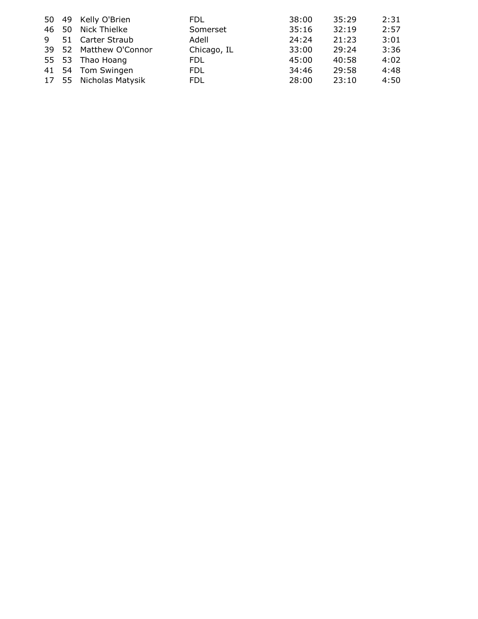|  | 50 49 Kelly O'Brien    | FDL.        | 38:00 | 35:29 | 2:31 |
|--|------------------------|-------------|-------|-------|------|
|  | 46 50 Nick Thielke     | Somerset    | 35:16 | 32:19 | 2:57 |
|  | 9 51 Carter Straub     | Adell       | 24:24 | 21:23 | 3:01 |
|  | 39 52 Matthew O'Connor | Chicago, IL | 33:00 | 29:24 | 3:36 |
|  | 55 53 Thao Hoang       | FDL.        | 45:00 | 40:58 | 4:02 |
|  | 41 54 Tom Swingen      | FDL.        | 34:46 | 29:58 | 4:48 |
|  | 17 55 Nicholas Matysik | FDL.        | 28:00 | 23:10 | 4:50 |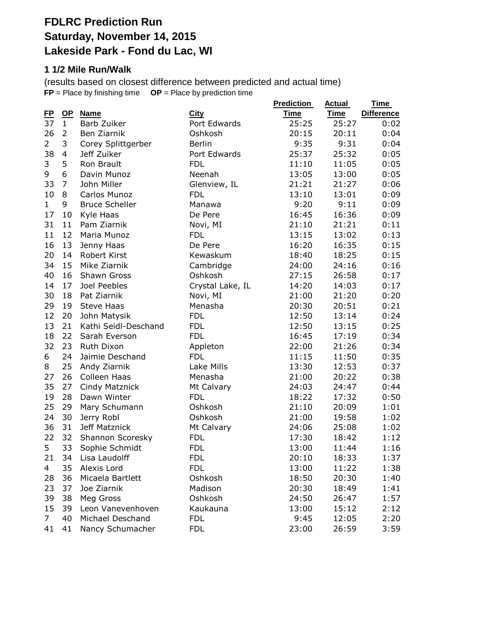# **FDLRC Prediction Run Saturday, November 14, 2015 Lakeside Park - Fond du Lac, WI**

#### **1 1/2 Mile Run/Walk**

(results based on closest difference between predicted and actual time) **FP** = Place by finishing time **OP** = Place by prediction time

|                 |                           |                            |                             | <b>Prediction</b>    | <b>Actual</b><br><b>Time</b> | <u>Time</u>               |
|-----------------|---------------------------|----------------------------|-----------------------------|----------------------|------------------------------|---------------------------|
| <u>FP</u><br>37 | <u>OP</u><br>$\mathbf{1}$ | <b>Name</b><br>Barb Zuiker | <b>City</b><br>Port Edwards | <b>Time</b><br>25:25 | 25:27                        | <b>Difference</b><br>0:02 |
|                 | 2                         | Ben Ziarnik                | Oshkosh                     | 20:15                | 20:11                        |                           |
| 26              |                           |                            |                             |                      |                              | 0:04                      |
| $\overline{2}$  | 3                         | Corey Splittgerber         | <b>Berlin</b>               | 9:35                 | 9:31                         | 0:04                      |
| 38              | 4                         | Jeff Zuiker                | Port Edwards                | 25:37                | 25:32                        | 0:05                      |
| 3               | 5                         | Ron Brault                 | <b>FDL</b>                  | 11:10                | 11:05                        | 0:05                      |
| 9               | 6                         | Davin Munoz                | Neenah                      | 13:05                | 13:00                        | 0:05                      |
| 33              | $\overline{7}$            | John Miller                | Glenview, IL                | 21:21                | 21:27                        | 0:06                      |
| 10              | 8                         | Carlos Munoz               | <b>FDL</b>                  | 13:10                | 13:01                        | 0:09                      |
| $\mathbf{1}$    | 9                         | <b>Bruce Scheller</b>      | Manawa                      | 9:20                 | 9:11                         | 0:09                      |
| 17              | 10                        | Kyle Haas                  | De Pere                     | 16:45                | 16:36                        | 0:09                      |
| 31              | 11                        | Pam Ziarnik                | Novi, MI                    | 21:10                | 21:21                        | 0:11                      |
| 11              | 12                        | Maria Munoz                | <b>FDL</b>                  | 13:15                | 13:02                        | 0:13                      |
| 16              | 13                        | Jenny Haas                 | De Pere                     | 16:20                | 16:35                        | 0:15                      |
| 20              | 14                        | Robert Kirst               | Kewaskum                    | 18:40                | 18:25                        | 0:15                      |
| 34              | 15                        | Mike Ziarnik               | Cambridge                   | 24:00                | 24:16                        | 0:16                      |
| 40              | 16                        | Shawn Gross                | Oshkosh                     | 27:15                | 26:58                        | 0:17                      |
| 14              | 17                        | Joel Peebles               | Crystal Lake, IL            | 14:20                | 14:03                        | 0:17                      |
| 30              | 18                        | Pat Ziarnik                | Novi, MI                    | 21:00                | 21:20                        | 0:20                      |
| 29              | 19                        | <b>Steve Haas</b>          | Menasha                     | 20:30                | 20:51                        | 0:21                      |
| 12              | 20                        | John Matysik               | <b>FDL</b>                  | 12:50                | 13:14                        | 0:24                      |
| 13              | 21                        | Kathi Seidl-Deschand       | <b>FDL</b>                  | 12:50                | 13:15                        | 0:25                      |
| 18              | 22                        | Sarah Everson              | <b>FDL</b>                  | 16:45                | 17:19                        | 0:34                      |
| 32              | 23                        | <b>Ruth Dixon</b>          | Appleton                    | 22:00                | 21:26                        | 0:34                      |
| 6               | 24                        | Jaimie Deschand            | <b>FDL</b>                  | 11:15                | 11:50                        | 0:35                      |
| 8               | 25                        | Andy Ziarnik               | Lake Mills                  | 13:30                | 12:53                        | 0:37                      |
| 27              | 26                        | Colleen Haas               | Menasha                     | 21:00                | 20:22                        | 0:38                      |
| 35              | 27                        | Cindy Matznick             | Mt Calvary                  | 24:03                | 24:47                        | 0:44                      |
| 19              | 28                        | Dawn Winter                | <b>FDL</b>                  | 18:22                | 17:32                        | 0:50                      |
| 25              | 29                        | Mary Schumann              | Oshkosh                     | 21:10                | 20:09                        | 1:01                      |
| 24              | 30                        | Jerry Robl                 | Oshkosh                     | 21:00                | 19:58                        | 1:02                      |
| 36              | 31                        | Jeff Matznick              | Mt Calvary                  | 24:06                | 25:08                        | 1:02                      |
| 22              | 32                        | Shannon Scoresky           | <b>FDL</b>                  | 17:30                | 18:42                        | 1:12                      |
| 5               | 33                        | Sophie Schmidt             | <b>FDL</b>                  | 13:00                | 11:44                        | 1:16                      |
| 21              | 34                        | Lisa Laudolff              | <b>FDL</b>                  | 20:10                | 18:33                        | 1:37                      |
| $\overline{4}$  | 35                        | Alexis Lord                | <b>FDL</b>                  | 13:00                | 11:22                        | 1:38                      |
| 28              | 36                        | Micaela Bartlett           | Oshkosh                     | 18:50                | 20:30                        | 1:40                      |
| 23              | 37                        | Joe Ziarnik                | Madison                     | 20:30                | 18:49                        | 1:41                      |
| 39              | 38                        | Meg Gross                  | Oshkosh                     | 24:50                | 26:47                        | 1:57                      |
| 15              | 39                        | Leon Vanevenhoven          | Kaukauna                    | 13:00                | 15:12                        | 2:12                      |
| $\overline{7}$  | 40                        | Michael Deschand           | <b>FDL</b>                  | 9:45                 | 12:05                        | 2:20                      |
| 41              | 41                        | Nancy Schumacher           | <b>FDL</b>                  | 23:00                | 26:59                        | 3:59                      |
|                 |                           |                            |                             |                      |                              |                           |